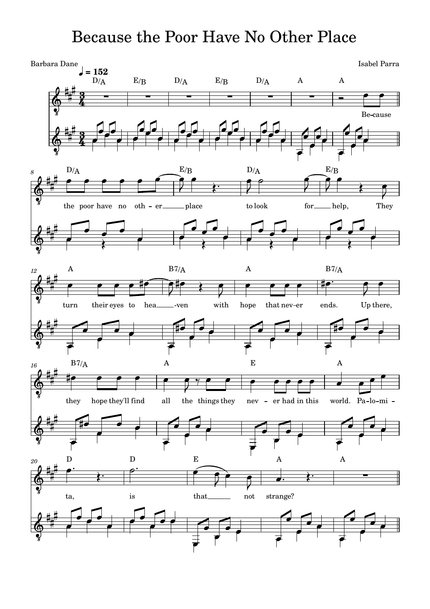## Because the Poor Have No Other Place

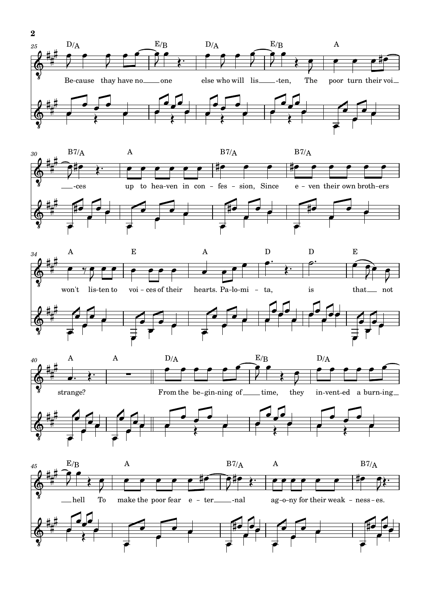







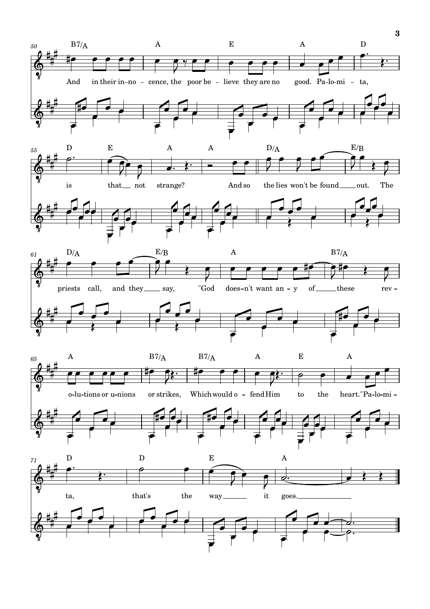

**3**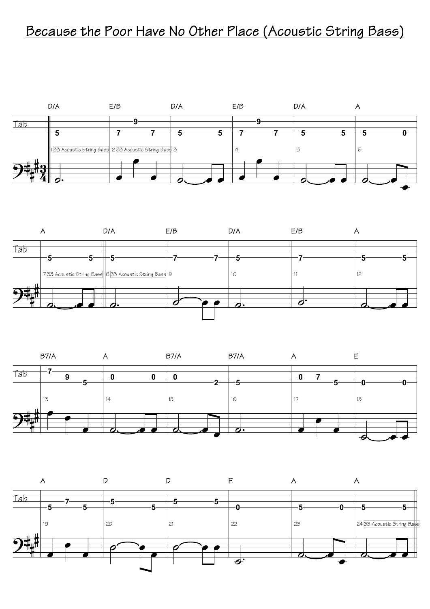## Because the Poor Have No Other Place (Acoustic String Bass)







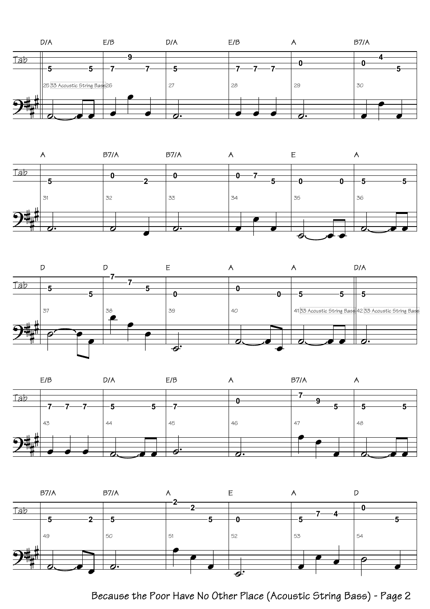









Because the Poor Have No Other Place (Acoustic String Bass) - Page 2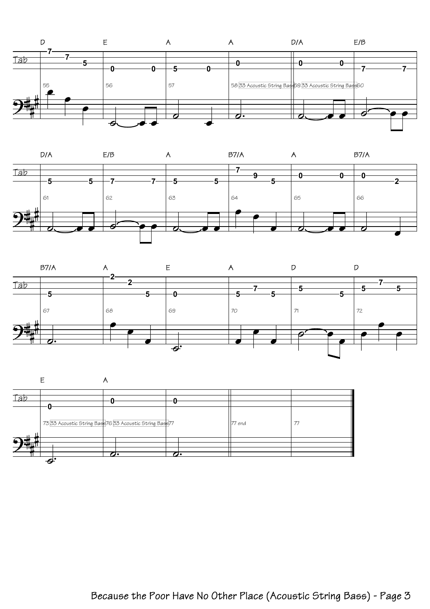





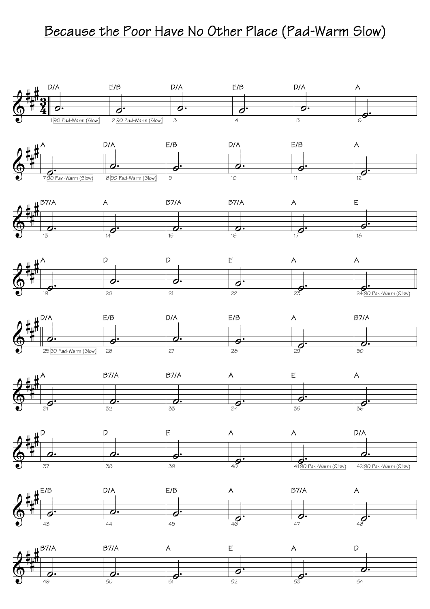## Because the Poor Have No Other Place (Pad-Warm Slow)